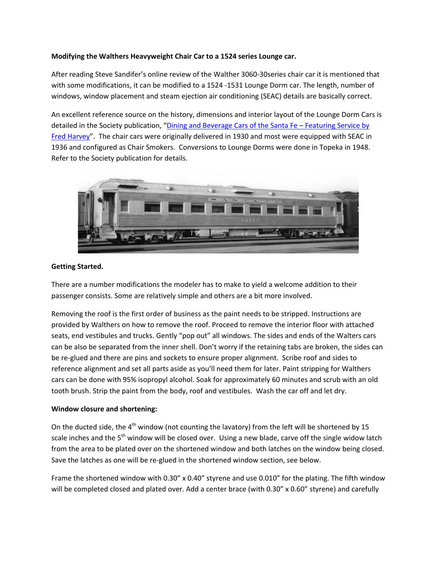### **Modifying the Walthers Heavyweight Chair Car to a 1524 series Lounge car.**

After reading Steve Sandifer's online review of the Walther 3060‐30series chair car it is mentioned that with some modifications, it can be modified to a 1524 ‐1531 Lounge Dorm car. The length, number of windows, window placement and steam ejection air conditioning (SEAC) details are basically correct.

An excellent reference source on the history, dimensions and interior layout of the Lounge Dorm Cars is detailed in the Society publication, "Dining and Beverage Cars of the Santa Fe – [Featuring](http://www.atsfrr.net/store/bookPass.htm) Service by Fred [Harvey"](http://www.atsfrr.net/store/bookPass.htm). The chair cars were originally delivered in 1930 and most were equipped with SEAC in 1936 and configured as Chair Smokers. Conversions to Lounge Dorms were done in Topeka in 1948. Refer to the Society publication for details.



### **Getting Started.**

There are a number modifications the modeler has to make to yield a welcome addition to their passenger consists. Some are relatively simple and others are a bit more involved.

Removing the roof is the first order of business as the paint needs to be stripped. Instructions are provided by Walthers on how to remove the roof. Proceed to remove the interior floor with attached seats, end vestibules and trucks. Gently "pop out" all windows. The sides and ends of the Walters cars can be also be separated from the inner shell. Don't worry if the retaining tabs are broken, the sides can be re-glued and there are pins and sockets to ensure proper alignment. Scribe roof and sides to reference alignment and set all parts aside as you'll need them for later. Paint stripping for Walthers cars can be done with 95% isopropyl alcohol. Soak for approximately 60 minutes and scrub with an old tooth brush. Strip the paint from the body, roof and vestibules. Wash the car off and let dry.

### **Window closure and shortening:**

On the ducted side, the  $4<sup>th</sup>$  window (not counting the lavatory) from the left will be shortened by 15 scale inches and the 5<sup>th</sup> window will be closed over. Using a new blade, carve off the single widow latch from the area to be plated over on the shortened window and both latches on the window being closed. Save the latches as one will be re‐glued in the shortened window section, see below.

Frame the shortened window with 0.30" x 0.40" styrene and use 0.010" for the plating. The fifth window will be completed closed and plated over. Add a center brace (with 0.30" x 0.60" styrene) and carefully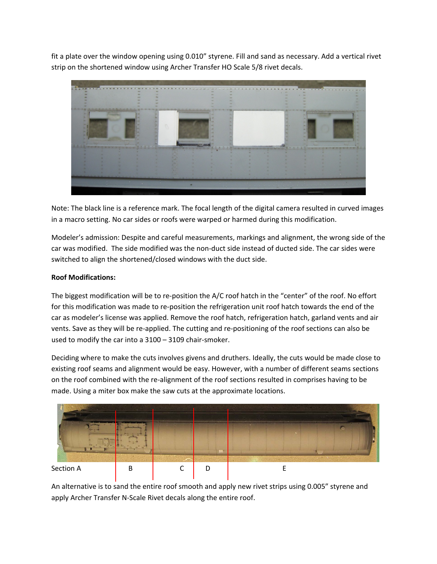fit a plate over the window opening using 0.010" styrene. Fill and sand as necessary. Add a vertical rivet strip on the shortened window using Archer Transfer HO Scale 5/8 rivet decals.



Note: The black line is a reference mark. The focal length of the digital camera resulted in curved images in a macro setting. No car sides or roofs were warped or harmed during this modification.

Modeler's admission: Despite and careful measurements, markings and alignment, the wrong side of the car was modified. The side modified was the non-duct side instead of ducted side. The car sides were switched to align the shortened/closed windows with the duct side.

### **Roof Modifications:**

The biggest modification will be to re-position the A/C roof hatch in the "center" of the roof. No effort for this modification was made to re-position the refrigeration unit roof hatch towards the end of the car as modeler's license was applied. Remove the roof hatch, refrigeration hatch, garland vents and air vents. Save as they will be re‐applied. The cutting and re‐positioning of the roof sections can also be used to modify the car into a 3100 – 3109 chair-smoker.

Deciding where to make the cuts involves givens and druthers. Ideally, the cuts would be made close to existing roof seams and alignment would be easy. However, with a number of different seams sections on the roof combined with the re-alignment of the roof sections resulted in comprises having to be made. Using a miter box make the saw cuts at the approximate locations.



An alternative is to sand the entire roof smooth and apply new rivet strips using 0.005" styrene and apply Archer Transfer N‐Scale Rivet decals along the entire roof.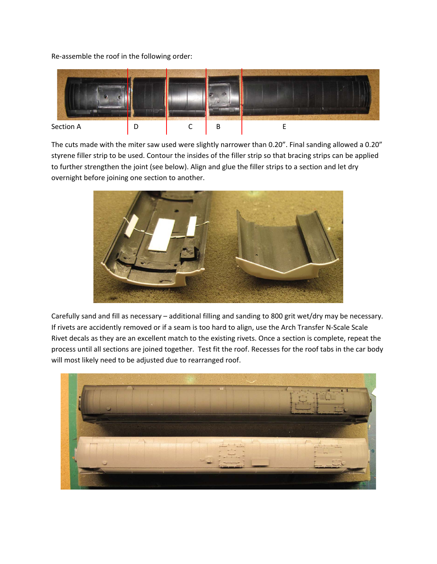Re‐assemble the roof in the following order:



The cuts made with the miter saw used were slightly narrower than 0.20". Final sanding allowed a 0.20" styrene filler strip to be used. Contour the insides of the filler strip so that bracing strips can be applied to further strengthen the joint (see below). Align and glue the filler strips to a section and let dry overnight before joining one section to another.



Carefully sand and fill as necessary – additional filling and sanding to 800 grit wet/dry may be necessary. If rivets are accidently removed or if a seam is too hard to align, use the Arch Transfer N‐Scale Scale Rivet decals as they are an excellent match to the existing rivets. Once a section is complete, repeat the process until all sections are joined together. Test fit the roof. Recesses for the roof tabs in the car body will most likely need to be adjusted due to rearranged roof.

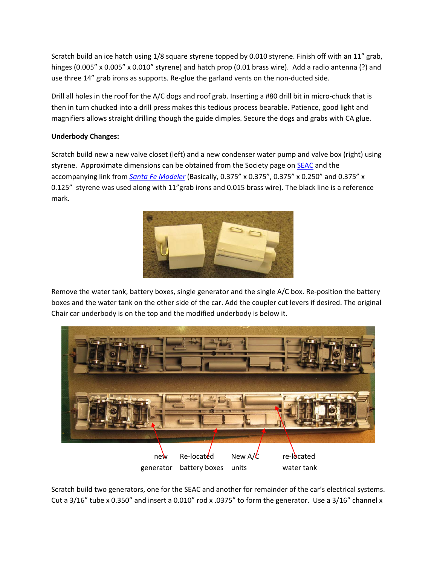Scratch build an ice hatch using 1/8 square styrene topped by 0.010 styrene. Finish off with an 11" grab, hinges (0.005" x 0.005" x 0.010" styrene) and hatch prop (0.01 brass wire). Add a radio antenna (?) and use three 14" grab irons as supports. Re-glue the garland vents on the non-ducted side.

Drill all holes in the roof for the A/C dogs and roof grab. Inserting a #80 drill bit in micro-chuck that is then in turn chucked into a drill press makes this tedious process bearable. Patience, good light and magnifiers allows straight drilling though the guide dimples. Secure the dogs and grabs with CA glue.

# **Underbody Changes:**

Scratch build new a new valve closet (left) and a new condenser water pump and valve box (right) using styrene. Approximate dimensions can be obtained from the Society page on [SEAC](http://www.atsfrr.net/resources/Sandifer/SEAC/Index.htm) and the accompanying link from *Santa Fe [Modeler](http://www.atsfrr.net/resources/Sandifer/SEAC/SFM.pdf)* (Basically, 0.375" x 0.375", 0.375" x 0.250" and 0.375" x 0.125" styrene was used along with 11"grab irons and 0.015 brass wire). The black line is a reference mark.



Remove the water tank, battery boxes, single generator and the single A/C box. Re-position the battery boxes and the water tank on the other side of the car. Add the coupler cut levers if desired. The original Chair car underbody is on the top and the modified underbody is below it.



Scratch build two generators, one for the SEAC and another for remainder of the car's electrical systems. Cut a 3/16" tube x 0.350" and insert a 0.010" rod x .0375" to form the generator. Use a 3/16" channel x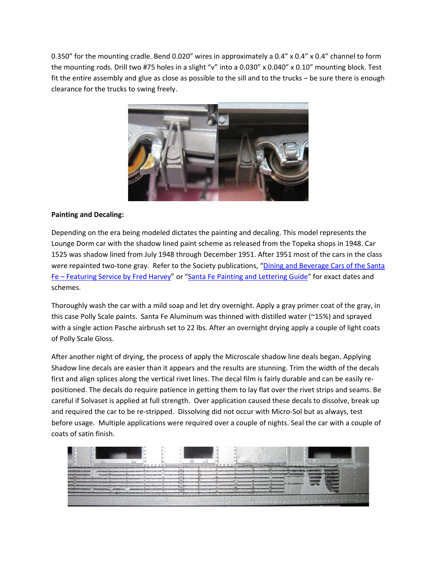0.350" for the mounting cradle. Bend 0.020" wires in approximately a 0.4" x 0.4" x 0.4" channel to form the mounting rods. Drill two #75 holes in a slight "v" into a 0.030" x 0.040" x 0.10" mounting block. Test fit the entire assembly and glue as close as possible to the sill and to the trucks – be sure there is enough clearance for the trucks to swing freely.



### **Painting and Decaling:**

Depending on the era being modeled dictates the painting and decaling. This model represents the Lounge Dorm car with the shadow lined paint scheme as released from the Topeka shops in 1948. Car 1525 was shadow lined from July 1948 through December 1951. After 1951 most of the cars in the class were repainted two-tone gray. Refer to the Society publications, "Dining and [Beverage](http://www.atsfrr.net/store/bookPass.htm) Cars of the Santa Fe – [Featuring](http://www.atsfrr.net/store/bookPass.htm) Service by Fred Harvey" or "Santa Fe Painting and [Lettering](http://www.atsfrr.net/store/bookRef.htm) Guide" for exact dates and schemes.

Thoroughly wash the car with a mild soap and let dry overnight. Apply a gray primer coat of the gray, in this case Polly Scale paints. Santa Fe Aluminum was thinned with distilled water (~15%) and sprayed with a single action Pasche airbrush set to 22 lbs. After an overnight drying apply a couple of light coats of Polly Scale Gloss.

After another night of drying, the process of apply the Microscale shadow line deals began. Applying Shadow line decals are easier than it appears and the results are stunning. Trim the width of the decals first and align splices along the vertical rivet lines. The decal film is fairly durable and can be easily repositioned. The decals do require patience in getting them to lay flat over the rivet strips and seams. Be careful if Solvaset is applied at full strength. Over application caused these decals to dissolve, break up and required the car to be re-stripped. Dissolving did not occur with Micro-Sol but as always, test before usage. Multiple applications were required over a couple of nights. Seal the car with a couple of coats of satin finish.

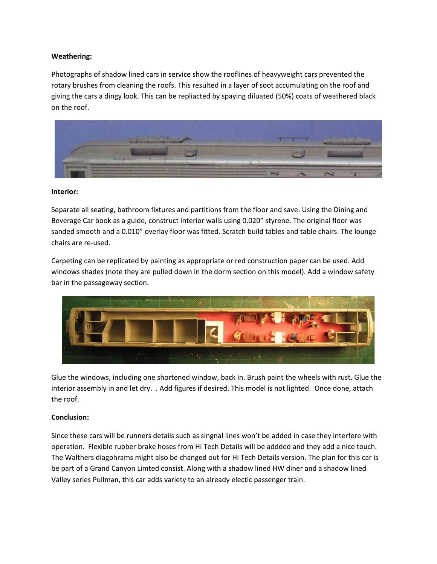### **Weathering:**

Photographs of shadow lined cars in service show the rooflines of heavyweight cars prevented the rotary brushes from cleaning the roofs. This resulted in a layer of soot accumulating on the roof and giving the cars a dingy look. This can be repliacted by spaying diluated (50%) coats of weathered black on the roof.



#### **Interior:**

Separate all seating, bathroom fixtures and partitions from the floor and save. Using the Dining and Beverage Car book as a guide, construct interior walls using 0.020" styrene. The original floor was sanded smooth and a 0.010" overlay floor was fitted. Scratch build tables and table chairs. The lounge chairs are re‐used.

Carpeting can be replicated by painting as appropriate or red construction paper can be used. Add windows shades (note they are pulled down in the dorm section on this model). Add a window safety bar in the passageway section.



Glue the windows, including one shortened window, back in. Brush paint the wheels with rust. Glue the interior assembly in and let dry. . Add figures if desired. This model is not lighted. Once done, attach the roof.

# **Conclusion:**

Since these cars will be runners details such as singnal lines won't be added in case they interfere with operation. Flexible rubber brake hoses from Hi Tech Details will be addded and they add a nice touch. The Walthers diagphrams might also be changed out for Hi Tech Details version. The plan for this car is be part of a Grand Canyon Limted consist. Along with a shadow lined HW diner and a shadow lined Valley series Pullman, this car adds variety to an already electic passenger train.